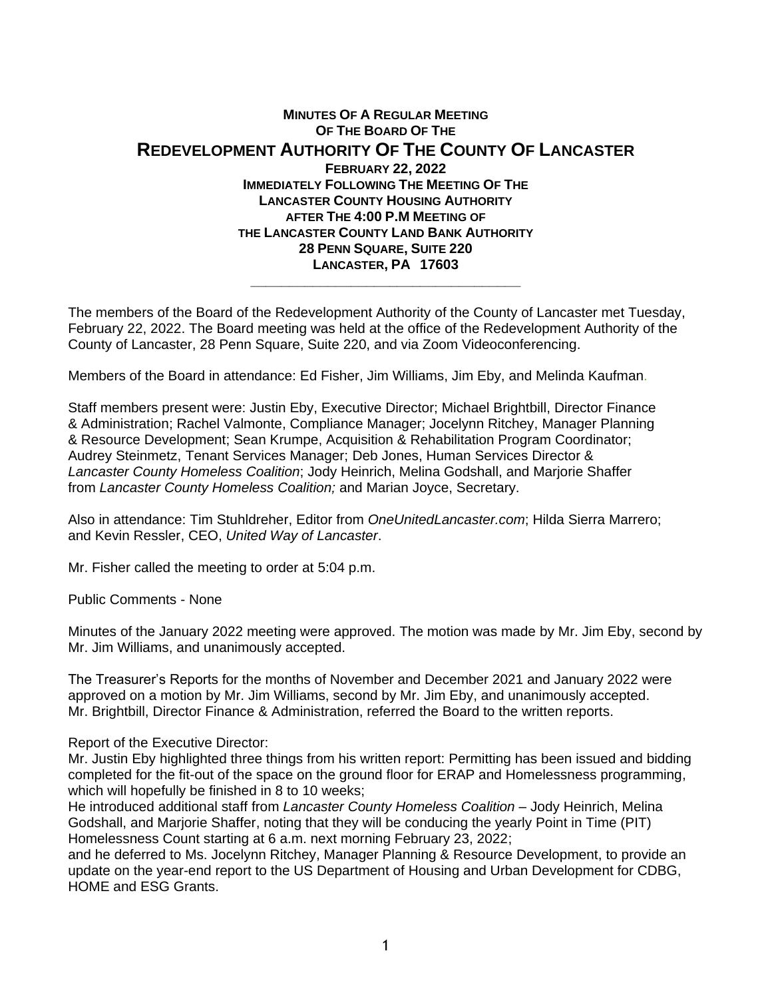## **MINUTES OF A REGULAR MEETING OF THE BOARD OF THE REDEVELOPMENT AUTHORITY OF THE COUNTY OF LANCASTER FEBRUARY 22, 2022 IMMEDIATELY FOLLOWING THE MEETING OF THE LANCASTER COUNTY HOUSING AUTHORITY AFTER THE 4:00 P.M MEETING OF THE LANCASTER COUNTY LAND BANK AUTHORITY 28 PENN SQUARE, SUITE 220 LANCASTER, PA 17603 \_\_\_\_\_\_\_\_\_\_\_\_\_\_\_\_\_\_\_\_\_\_\_\_\_\_\_\_\_\_\_\_\_\_\_**

The members of the Board of the Redevelopment Authority of the County of Lancaster met Tuesday, February 22, 2022. The Board meeting was held at the office of the Redevelopment Authority of the County of Lancaster, 28 Penn Square, Suite 220, and via Zoom Videoconferencing.

Members of the Board in attendance: Ed Fisher, Jim Williams, Jim Eby, and Melinda Kaufman.

Staff members present were: Justin Eby, Executive Director; Michael Brightbill, Director Finance & Administration; Rachel Valmonte, Compliance Manager; Jocelynn Ritchey, Manager Planning & Resource Development; Sean Krumpe, Acquisition & Rehabilitation Program Coordinator; Audrey Steinmetz, Tenant Services Manager; Deb Jones, Human Services Director & *Lancaster County Homeless Coalition*; Jody Heinrich, Melina Godshall, and Marjorie Shaffer from *Lancaster County Homeless Coalition;* and Marian Joyce, Secretary.

Also in attendance: Tim Stuhldreher, Editor from *OneUnitedLancaster.com*; Hilda Sierra Marrero; and Kevin Ressler, CEO, *United Way of Lancaster*.

Mr. Fisher called the meeting to order at 5:04 p.m.

Public Comments - None

Minutes of the January 2022 meeting were approved. The motion was made by Mr. Jim Eby, second by Mr. Jim Williams, and unanimously accepted.

The Treasurer's Reports for the months of November and December 2021 and January 2022 were approved on a motion by Mr. Jim Williams, second by Mr. Jim Eby, and unanimously accepted. Mr. Brightbill, Director Finance & Administration, referred the Board to the written reports.

Report of the Executive Director:

Mr. Justin Eby highlighted three things from his written report: Permitting has been issued and bidding completed for the fit-out of the space on the ground floor for ERAP and Homelessness programming, which will hopefully be finished in 8 to 10 weeks;

He introduced additional staff from *Lancaster County Homeless Coalition* – Jody Heinrich, Melina Godshall, and Marjorie Shaffer, noting that they will be conducing the yearly Point in Time (PIT) Homelessness Count starting at 6 a.m. next morning February 23, 2022;

and he deferred to Ms. Jocelynn Ritchey, Manager Planning & Resource Development, to provide an update on the year-end report to the US Department of Housing and Urban Development for CDBG, HOME and ESG Grants.